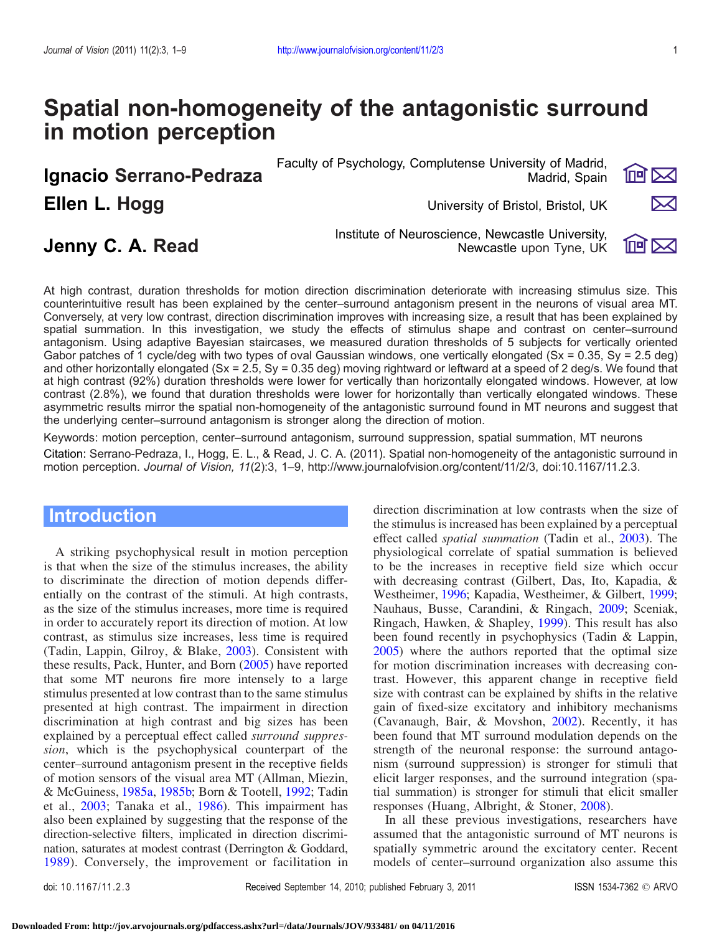# Spatial non-homogeneity of the antagonistic surround in motion perception

**Ellen L. Hogg States and American Control Control Control Control Control Control Control Control Control Control Control Control Control Control Control Control Control Control Control Control Control Control Control Con** 

Faculty of Psychology, Complutense University of Madrid, Ignacio Serrano-Pedraza Madrid, Spain

 $\overline{\mathbb{P}}$   $\mathbb{P}$ 



 $1$ ngi $\sum$ 

Institute of Neuroscience, Newcastle University, Jenny C. A. Read Newcastle upon Tyne, UK

At high contrast, duration thresholds for motion direction discrimination deteriorate with increasing stimulus size. This counterintuitive result has been explained by the center–surround antagonism present in the neurons of visual area MT. Conversely, at very low contrast, direction discrimination improves with increasing size, a result that has been explained by spatial summation. In this investigation, we study the effects of stimulus shape and contrast on center–surround antagonism. Using adaptive Bayesian staircases, we measured duration thresholds of 5 subjects for vertically oriented Gabor patches of 1 cycle/deg with two types of oval Gaussian windows, one vertically elongated ( $Sx = 0.35$ ,  $Sy = 2.5$  deg) and other horizontally elongated (Sx = 2.5, Sy = 0.35 deg) moving rightward or leftward at a speed of 2 deg/s. We found that at high contrast (92%) duration thresholds were lower for vertically than horizontally elongated windows. However, at low contrast (2.8%), we found that duration thresholds were lower for horizontally than vertically elongated windows. These asymmetric results mirror the spatial non-homogeneity of the antagonistic surround found in MT neurons and suggest that the underlying center–surround antagonism is stronger along the direction of motion.

Keywords: motion perception, center–surround antagonism, surround suppression, spatial summation, MT neurons

Citation: Serrano-Pedraza, I., Hogg, E. L., & Read, J. C. A. (2011). Spatial non-homogeneity of the antagonistic surround in motion perception. Journal of Vision, 11(2):3, 1–9, http://www.journalofvision.org/content/11/2/3, doi:10.1167/11.2.3.

# Introduction

A striking psychophysical result in motion perception is that when the size of the stimulus increases, the ability to discriminate the direction of motion depends differentially on the contrast of the stimuli. At high contrasts, as the size of the stimulus increases, more time is required in order to accurately report its direction of motion. At low contrast, as stimulus size increases, less time is required (Tadin, Lappin, Gilroy, & Blake, [2003\)](#page-8-0). Consistent with these results, Pack, Hunter, and Born ([2005\)](#page-7-0) have reported that some MT neurons fire more intensely to a large stimulus presented at low contrast than to the same stimulus presented at high contrast. The impairment in direction discrimination at high contrast and big sizes has been explained by a perceptual effect called surround suppression, which is the psychophysical counterpart of the center–surround antagonism present in the receptive fields of motion sensors of the visual area MT (Allman, Miezin, & McGuiness, [1985a,](#page-7-0) [1985b;](#page-7-0) Born & Tootell, [1992;](#page-7-0) Tadin et al., [2003](#page-8-0); Tanaka et al., [1986](#page-8-0)). This impairment has also been explained by suggesting that the response of the direction-selective filters, implicated in direction discrimination, saturates at modest contrast (Derrington & Goddard, [1989](#page-7-0)). Conversely, the improvement or facilitation in

direction discrimination at low contrasts when the size of the stimulus is increased has been explained by a perceptual effect called spatial summation (Tadin et al., [2003](#page-8-0)). The physiological correlate of spatial summation is believed to be the increases in receptive field size which occur with decreasing contrast (Gilbert, Das, Ito, Kapadia, & Westheimer, [1996;](#page-7-0) Kapadia, Westheimer, & Gilbert, [1999;](#page-7-0) Nauhaus, Busse, Carandini, & Ringach, [2009;](#page-7-0) Sceniak, Ringach, Hawken, & Shapley, [1999](#page-8-0)). This result has also been found recently in psychophysics (Tadin & Lappin, [2005\)](#page-8-0) where the authors reported that the optimal size for motion discrimination increases with decreasing contrast. However, this apparent change in receptive field size with contrast can be explained by shifts in the relative gain of fixed-size excitatory and inhibitory mechanisms (Cavanaugh, Bair, & Movshon, [2002\)](#page-7-0). Recently, it has been found that MT surround modulation depends on the strength of the neuronal response: the surround antagonism (surround suppression) is stronger for stimuli that elicit larger responses, and the surround integration (spatial summation) is stronger for stimuli that elicit smaller responses (Huang, Albright, & Stoner, [2008](#page-7-0)).

In all these previous investigations, researchers have assumed that the antagonistic surround of MT neurons is spatially symmetric around the excitatory center. Recent models of center–surround organization also assume this

doi: 10.1167/11.2.3 Received September 14, 2010; published February 3, 2011 ISSN 1534-7362 © ARVO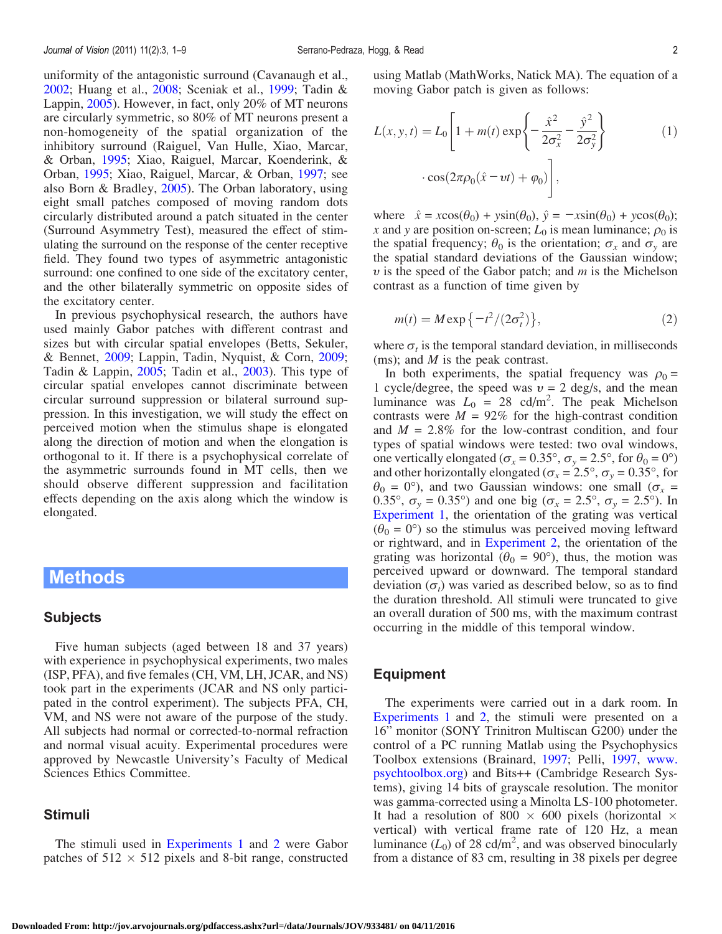<span id="page-1-0"></span>uniformity of the antagonistic surround (Cavanaugh et al., [2002;](#page-7-0) Huang et al., [2008](#page-7-0); Sceniak et al., [1999;](#page-8-0) Tadin & Lappin, [2005\)](#page-8-0). However, in fact, only 20% of MT neurons are circularly symmetric, so 80% of MT neurons present a non-homogeneity of the spatial organization of the inhibitory surround (Raiguel, Van Hulle, Xiao, Marcar, & Orban, [1995;](#page-8-0) Xiao, Raiguel, Marcar, Koenderink, & Orban, [1995;](#page-8-0) Xiao, Raiguel, Marcar, & Orban, [1997](#page-8-0); see also Born & Bradley, [2005\)](#page-7-0). The Orban laboratory, using eight small patches composed of moving random dots circularly distributed around a patch situated in the center (Surround Asymmetry Test), measured the effect of stimulating the surround on the response of the center receptive field. They found two types of asymmetric antagonistic surround: one confined to one side of the excitatory center, and the other bilaterally symmetric on opposite sides of the excitatory center.

In previous psychophysical research, the authors have used mainly Gabor patches with different contrast and sizes but with circular spatial envelopes (Betts, Sekuler, & Bennet, [2009;](#page-7-0) Lappin, Tadin, Nyquist, & Corn, [2009](#page-7-0); Tadin & Lappin, [2005](#page-8-0); Tadin et al., [2003](#page-8-0)). This type of circular spatial envelopes cannot discriminate between circular surround suppression or bilateral surround suppression. In this investigation, we will study the effect on perceived motion when the stimulus shape is elongated along the direction of motion and when the elongation is orthogonal to it. If there is a psychophysical correlate of the asymmetric surrounds found in MT cells, then we should observe different suppression and facilitation effects depending on the axis along which the window is elongated.

### Methods

#### Subjects

Five human subjects (aged between 18 and 37 years) with experience in psychophysical experiments, two males (ISP, PFA), and five females (CH, VM, LH, JCAR, and NS) took part in the experiments (JCAR and NS only participated in the control experiment). The subjects PFA, CH, VM, and NS were not aware of the purpose of the study. All subjects had normal or corrected-to-normal refraction and normal visual acuity. Experimental procedures were approved by Newcastle University's Faculty of Medical Sciences Ethics Committee.

#### Stimuli

The stimuli used in [Experiments 1](#page-2-0) and [2](#page-4-0) were Gabor patches of  $512 \times 512$  pixels and 8-bit range, constructed using Matlab (MathWorks, Natick MA). The equation of a moving Gabor patch is given as follows:

$$
L(x, y, t) = L_0 \left[ 1 + m(t) \exp\left\{ -\frac{\hat{x}^2}{2\sigma_x^2} - \frac{\hat{y}^2}{2\sigma_y^2} \right\} \right]
$$
  
. 
$$
\cos(2\pi \rho_0 (\hat{x} - vt) + \varphi_0) \right],
$$
 (1)

where  $\hat{x} = x\cos(\theta_0) + y\sin(\theta_0), \hat{y} = -x\sin(\theta_0) + y\cos(\theta_0);$ x and y are position on-screen;  $L_0$  is mean luminance;  $\rho_0$  is the spatial frequency;  $\theta_0$  is the orientation;  $\sigma_x$  and  $\sigma_y$  are the spatial standard deviations of the Gaussian window;  $\nu$  is the speed of the Gabor patch; and  $m$  is the Michelson contrast as a function of time given by

$$
m(t) = M \exp\{-t^2/(2\sigma_t^2)\},\tag{2}
$$

where  $\sigma_t$  is the temporal standard deviation, in milliseconds (ms); and  $M$  is the peak contrast.

In both experiments, the spatial frequency was  $\rho_0 =$ 1 cycle/degree, the speed was  $v = 2$  deg/s, and the mean luminance was  $L_0 = 28$  cd/m<sup>2</sup>. The peak Michelson contrasts were  $M = 92\%$  for the high-contrast condition and  $M = 2.8\%$  for the low-contrast condition, and four types of spatial windows were tested: two oval windows, one vertically elongated ( $\sigma_x = 0.35^\circ$ ,  $\sigma_y = 2.5^\circ$ , for  $\theta_0 = 0^\circ$ ) and other horizontally elongated ( $\sigma_x = 2.5^\circ$ ,  $\sigma_y = 0.35^\circ$ , for  $\theta_0 = 0^\circ$ ), and two Gaussian windows: one small ( $\sigma_x$  = 0.35°,  $\sigma_y = 0.35$ °) and one big ( $\sigma_x = 2.5$ °,  $\sigma_y = 2.5$ °). In [Experiment 1,](#page-2-0) the orientation of the grating was vertical  $(\theta_0 = 0^{\circ})$  so the stimulus was perceived moving leftward or rightward, and in [Experiment 2](#page-4-0), the orientation of the grating was horizontal ( $\theta_0 = 90^\circ$ ), thus, the motion was perceived upward or downward. The temporal standard deviation  $(\sigma_t)$  was varied as described below, so as to find the duration threshold. All stimuli were truncated to give an overall duration of 500 ms, with the maximum contrast occurring in the middle of this temporal window.

#### Equipment

The experiments were carried out in a dark room. In [Experiments 1](#page-2-0) and [2,](#page-4-0) the stimuli were presented on a 16" monitor (SONY Trinitron Multiscan G200) under the control of a PC running Matlab using the Psychophysics Toolbox extensions (Brainard, [1997](#page-7-0); Pelli, [1997](#page-7-0), [www.](http://www.psychtoolbox.org) [psychtoolbox.org](http://www.psychtoolbox.org)) and Bits++ (Cambridge Research Systems), giving 14 bits of grayscale resolution. The monitor was gamma-corrected using a Minolta LS-100 photometer. It had a resolution of 800  $\times$  600 pixels (horizontal  $\times$ vertical) with vertical frame rate of 120 Hz, a mean luminance  $(L_0)$  of 28 cd/m<sup>2</sup>, and was observed binocularly from a distance of 83 cm, resulting in 38 pixels per degree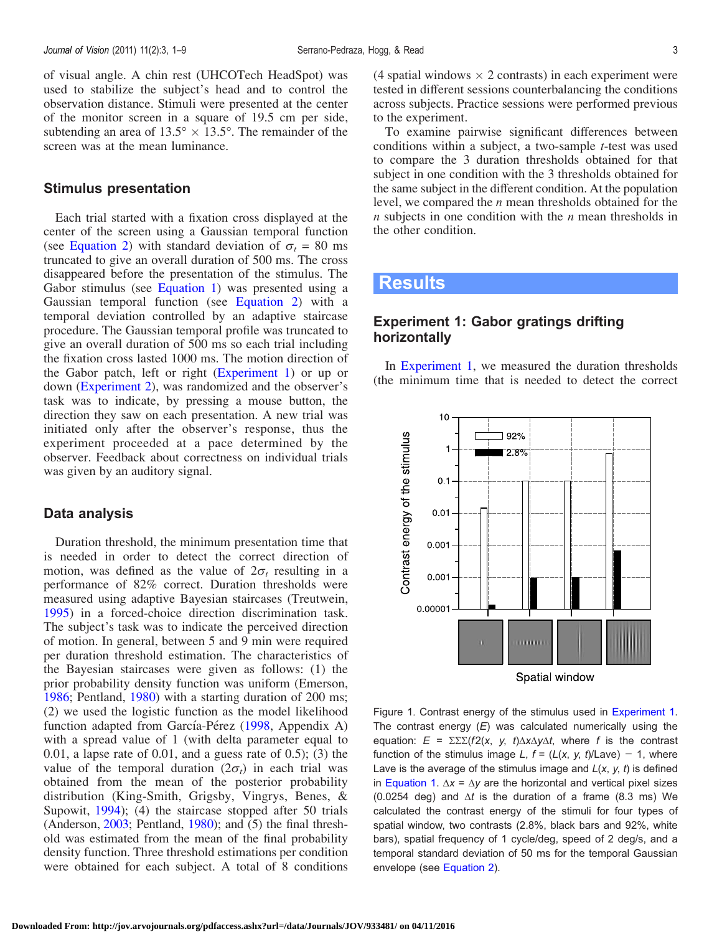<span id="page-2-0"></span>of visual angle. A chin rest (UHCOTech HeadSpot) was used to stabilize the subject's head and to control the observation distance. Stimuli were presented at the center of the monitor screen in a square of 19.5 cm per side, subtending an area of  $13.5^{\circ} \times 13.5^{\circ}$ . The remainder of the screen was at the mean luminance.

#### Stimulus presentation

Each trial started with a fixation cross displayed at the center of the screen using a Gaussian temporal function (see [Equation 2](#page-1-0)) with standard deviation of  $\sigma_t = 80$  ms truncated to give an overall duration of 500 ms. The cross disappeared before the presentation of the stimulus. The Gabor stimulus (see [Equation 1](#page-1-0)) was presented using a Gaussian temporal function (see [Equation 2\)](#page-1-0) with a temporal deviation controlled by an adaptive staircase procedure. The Gaussian temporal profile was truncated to give an overall duration of 500 ms so each trial including the fixation cross lasted 1000 ms. The motion direction of the Gabor patch, left or right (Experiment 1) or up or down [\(Experiment 2](#page-4-0)), was randomized and the observer's task was to indicate, by pressing a mouse button, the direction they saw on each presentation. A new trial was initiated only after the observer's response, thus the experiment proceeded at a pace determined by the observer. Feedback about correctness on individual trials was given by an auditory signal.

#### Data analysis

Duration threshold, the minimum presentation time that is needed in order to detect the correct direction of motion, was defined as the value of  $2\sigma_t$  resulting in a performance of 82% correct. Duration thresholds were measured using adaptive Bayesian staircases (Treutwein, [1995\)](#page-8-0) in a forced-choice direction discrimination task. The subject's task was to indicate the perceived direction of motion. In general, between 5 and 9 min were required per duration threshold estimation. The characteristics of the Bayesian staircases were given as follows: (1) the prior probability density function was uniform (Emerson, [1986;](#page-7-0) Pentland, [1980\)](#page-7-0) with a starting duration of 200 ms; (2) we used the logistic function as the model likelihood function adapted from García-Pérez [\(1998](#page-7-0), Appendix A) with a spread value of 1 (with delta parameter equal to  $0.01$ , a lapse rate of  $0.01$ , and a guess rate of  $0.5$ ; (3) the value of the temporal duration  $(2\sigma_t)$  in each trial was obtained from the mean of the posterior probability distribution (King-Smith, Grigsby, Vingrys, Benes, & Supowit, [1994](#page-7-0)); (4) the staircase stopped after 50 trials (Anderson, [2003](#page-7-0); Pentland, [1980](#page-7-0)); and (5) the final threshold was estimated from the mean of the final probability density function. Three threshold estimations per condition were obtained for each subject. A total of 8 conditions

(4 spatial windows  $\times$  2 contrasts) in each experiment were tested in different sessions counterbalancing the conditions across subjects. Practice sessions were performed previous to the experiment.

To examine pairwise significant differences between conditions within a subject, a two-sample t-test was used to compare the 3 duration thresholds obtained for that subject in one condition with the 3 thresholds obtained for the same subject in the different condition. At the population level, we compared the n mean thresholds obtained for the  $n$  subjects in one condition with the  $n$  mean thresholds in the other condition.

# **Results**

### Experiment 1: Gabor gratings drifting horizontally

In Experiment 1, we measured the duration thresholds (the minimum time that is needed to detect the correct



Figure 1. Contrast energy of the stimulus used in Experiment 1. The contrast energy  $(E)$  was calculated numerically using the equation:  $E = \Sigma \Sigma (f2(x, y, t) \Delta x \Delta y \Delta t,$  where f is the contrast function of the stimulus image L,  $f = (L(x, y, t)/Lave) - 1$ , where Lave is the average of the stimulus image and  $L(x, y, t)$  is defined in [Equation 1](#page-1-0).  $\Delta x = \Delta y$  are the horizontal and vertical pixel sizes (0.0254 deg) and  $\Delta t$  is the duration of a frame (8.3 ms) We calculated the contrast energy of the stimuli for four types of spatial window, two contrasts (2.8%, black bars and 92%, white bars), spatial frequency of 1 cycle/deg, speed of 2 deg/s, and a temporal standard deviation of 50 ms for the temporal Gaussian envelope (see [Equation 2](#page-1-0)).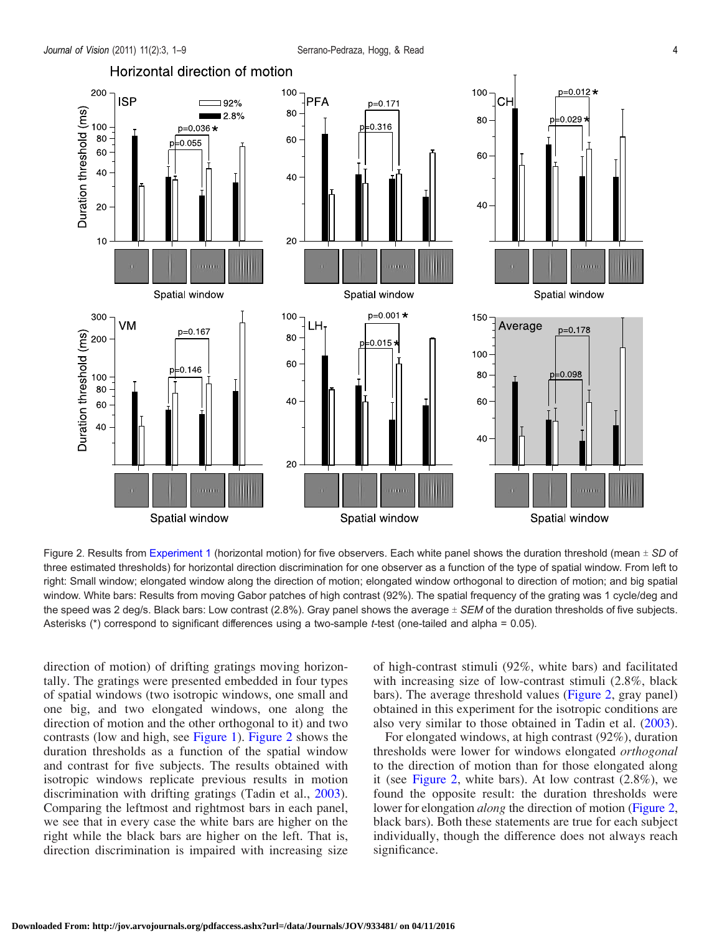<span id="page-3-0"></span>

Figure 2. Results from [Experiment 1](#page-2-0) (horizontal motion) for five observers. Each white panel shows the duration threshold (mean  $\pm$  SD of three estimated thresholds) for horizontal direction discrimination for one observer as a function of the type of spatial window. From left to right: Small window; elongated window along the direction of motion; elongated window orthogonal to direction of motion; and big spatial window. White bars: Results from moving Gabor patches of high contrast (92%). The spatial frequency of the grating was 1 cycle/deg and the speed was 2 deg/s. Black bars: Low contrast (2.8%). Gray panel shows the average  $\pm$  SEM of the duration thresholds of five subjects. Asterisks (\*) correspond to significant differences using a two-sample t-test (one-tailed and alpha = 0.05).

direction of motion) of drifting gratings moving horizontally. The gratings were presented embedded in four types of spatial windows (two isotropic windows, one small and one big, and two elongated windows, one along the direction of motion and the other orthogonal to it) and two contrasts (low and high, see [Figure 1](#page-2-0)). Figure 2 shows the duration thresholds as a function of the spatial window and contrast for five subjects. The results obtained with isotropic windows replicate previous results in motion discrimination with drifting gratings (Tadin et al., [2003\)](#page-8-0). Comparing the leftmost and rightmost bars in each panel, we see that in every case the white bars are higher on the right while the black bars are higher on the left. That is, direction discrimination is impaired with increasing size of high-contrast stimuli (92%, white bars) and facilitated with increasing size of low-contrast stimuli  $(2.8\%$ , black bars). The average threshold values (Figure 2, gray panel) obtained in this experiment for the isotropic conditions are also very similar to those obtained in Tadin et al. ([2003\)](#page-8-0).

For elongated windows, at high contrast (92%), duration thresholds were lower for windows elongated orthogonal to the direction of motion than for those elongated along it (see Figure 2, white bars). At low contrast  $(2.8\%)$ , we found the opposite result: the duration thresholds were lower for elongation *along* the direction of motion (Figure 2, black bars). Both these statements are true for each subject individually, though the difference does not always reach significance.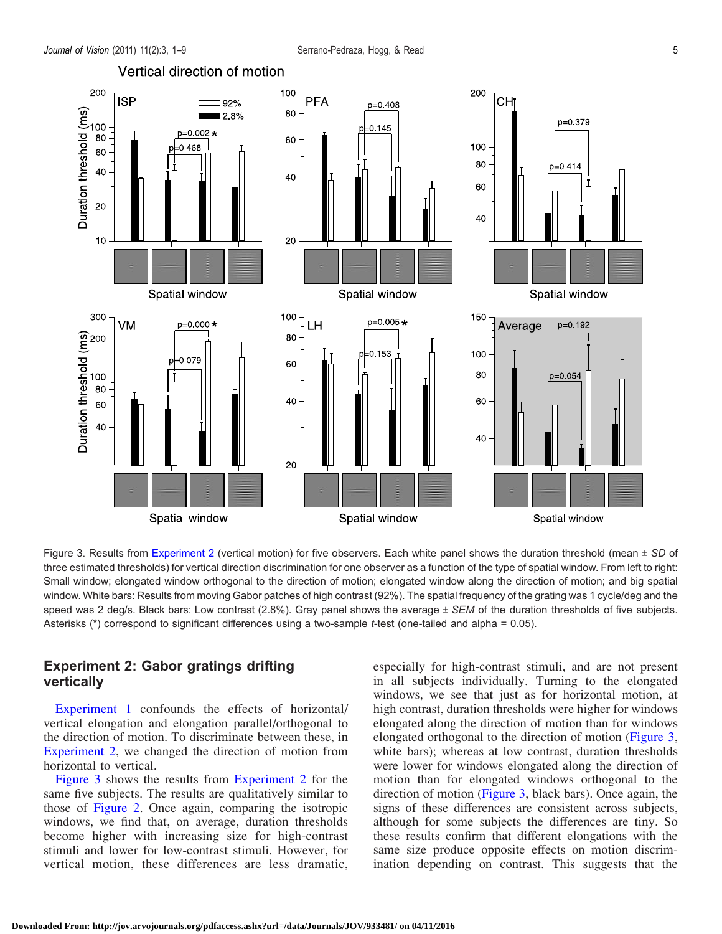<span id="page-4-0"></span>

Figure 3. Results from Experiment 2 (vertical motion) for five observers. Each white panel shows the duration threshold (mean  $\pm$  SD of three estimated thresholds) for vertical direction discrimination for one observer as a function of the type of spatial window. From left to right: Small window; elongated window orthogonal to the direction of motion; elongated window along the direction of motion; and big spatial window. White bars: Results from moving Gabor patches of high contrast (92%). The spatial frequency of the grating was 1 cycle/deg and the speed was 2 deg/s. Black bars: Low contrast (2.8%). Gray panel shows the average  $\pm$  SEM of the duration thresholds of five subjects. Asterisks (\*) correspond to significant differences using a two-sample t-test (one-tailed and alpha = 0.05).

### Experiment 2: Gabor gratings drifting vertically

[Experiment 1](#page-2-0) confounds the effects of horizontal/ vertical elongation and elongation parallel/orthogonal to the direction of motion. To discriminate between these, in Experiment 2, we changed the direction of motion from horizontal to vertical.

Figure 3 shows the results from Experiment 2 for the same five subjects. The results are qualitatively similar to those of [Figure 2.](#page-3-0) Once again, comparing the isotropic windows, we find that, on average, duration thresholds become higher with increasing size for high-contrast stimuli and lower for low-contrast stimuli. However, for vertical motion, these differences are less dramatic, especially for high-contrast stimuli, and are not present in all subjects individually. Turning to the elongated windows, we see that just as for horizontal motion, at high contrast, duration thresholds were higher for windows elongated along the direction of motion than for windows elongated orthogonal to the direction of motion (Figure 3, white bars); whereas at low contrast, duration thresholds were lower for windows elongated along the direction of motion than for elongated windows orthogonal to the direction of motion (Figure 3, black bars). Once again, the signs of these differences are consistent across subjects, although for some subjects the differences are tiny. So these results confirm that different elongations with the same size produce opposite effects on motion discrimination depending on contrast. This suggests that the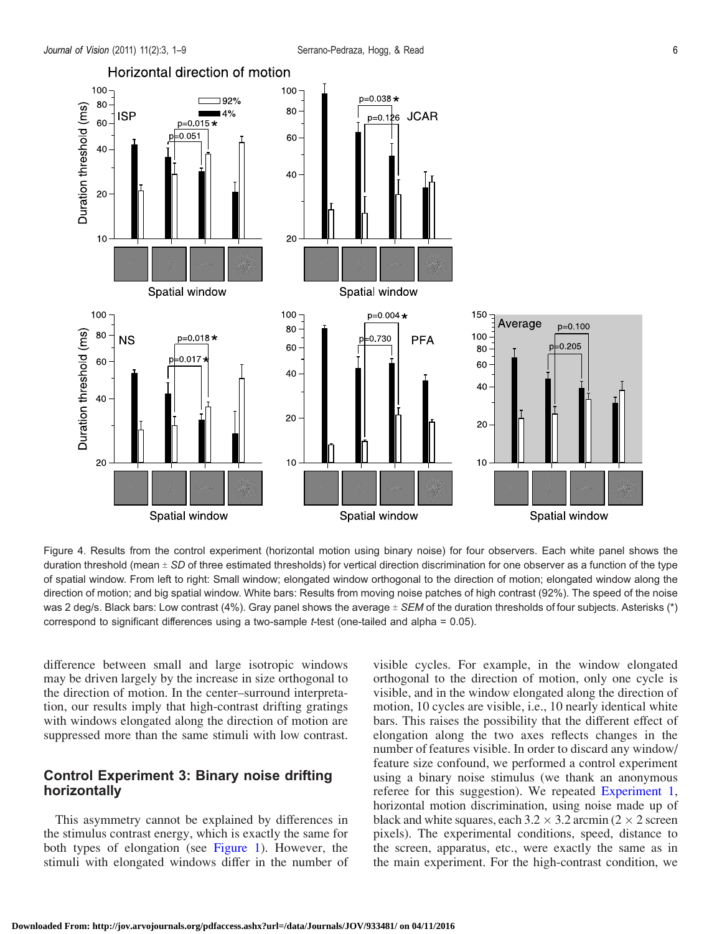<span id="page-5-0"></span>

Figure 4. Results from the control experiment (horizontal motion using binary noise) for four observers. Each white panel shows the duration threshold (mean  $\pm$  SD of three estimated thresholds) for vertical direction discrimination for one observer as a function of the type of spatial window. From left to right: Small window; elongated window orthogonal to the direction of motion; elongated window along the direction of motion; and big spatial window. White bars: Results from moving noise patches of high contrast (92%). The speed of the noise was 2 deg/s. Black bars: Low contrast (4%). Gray panel shows the average  $\pm$  SEM of the duration thresholds of four subjects. Asterisks (\*) correspond to significant differences using a two-sample t-test (one-tailed and alpha = 0.05).

difference between small and large isotropic windows may be driven largely by the increase in size orthogonal to the direction of motion. In the center–surround interpretation, our results imply that high-contrast drifting gratings with windows elongated along the direction of motion are suppressed more than the same stimuli with low contrast.

### Control Experiment 3: Binary noise drifting horizontally

This asymmetry cannot be explained by differences in the stimulus contrast energy, which is exactly the same for both types of elongation (see [Figure 1](#page-2-0)). However, the stimuli with elongated windows differ in the number of visible cycles. For example, in the window elongated orthogonal to the direction of motion, only one cycle is visible, and in the window elongated along the direction of motion, 10 cycles are visible, i.e., 10 nearly identical white bars. This raises the possibility that the different effect of elongation along the two axes reflects changes in the number of features visible. In order to discard any window/ feature size confound, we performed a control experiment using a binary noise stimulus (we thank an anonymous referee for this suggestion). We repeated [Experiment 1](#page-2-0), horizontal motion discrimination, using noise made up of black and white squares, each  $3.2 \times 3.2$  arcmin (2  $\times$  2 screen pixels). The experimental conditions, speed, distance to the screen, apparatus, etc., were exactly the same as in the main experiment. For the high-contrast condition, we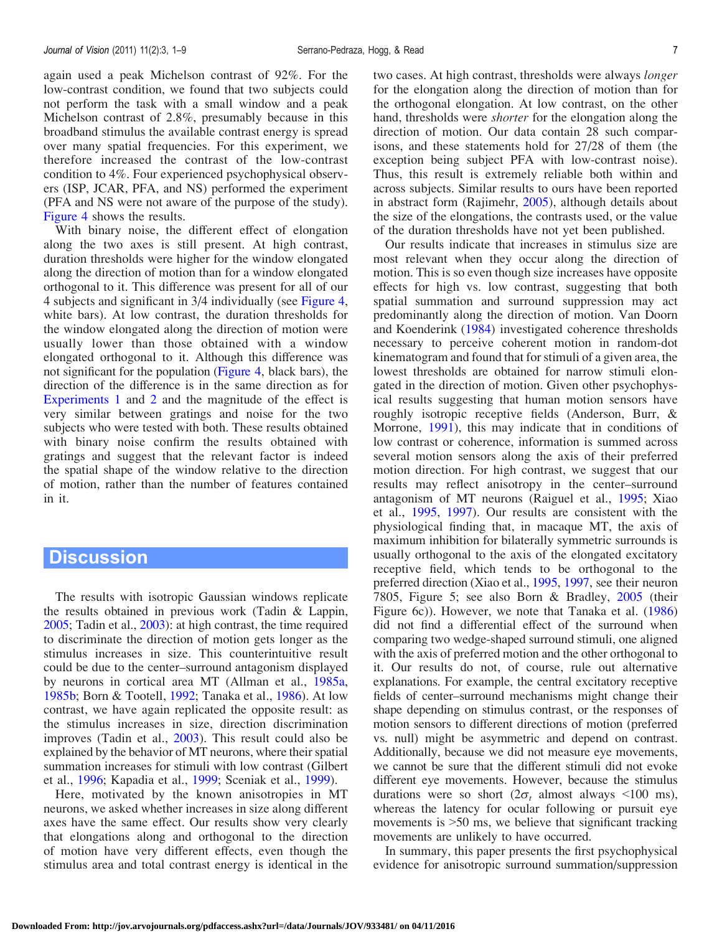again used a peak Michelson contrast of 92%. For the low-contrast condition, we found that two subjects could not perform the task with a small window and a peak Michelson contrast of 2.8%, presumably because in this broadband stimulus the available contrast energy is spread over many spatial frequencies. For this experiment, we therefore increased the contrast of the low-contrast condition to 4%. Four experienced psychophysical observers (ISP, JCAR, PFA, and NS) performed the experiment (PFA and NS were not aware of the purpose of the study). [Figure 4](#page-5-0) shows the results.

With binary noise, the different effect of elongation along the two axes is still present. At high contrast, duration thresholds were higher for the window elongated along the direction of motion than for a window elongated orthogonal to it. This difference was present for all of our 4 subjects and significant in 3/4 individually (see [Figure 4](#page-5-0), white bars). At low contrast, the duration thresholds for the window elongated along the direction of motion were usually lower than those obtained with a window elongated orthogonal to it. Although this difference was not significant for the population ([Figure 4,](#page-5-0) black bars), the direction of the difference is in the same direction as for [Experiments 1](#page-2-0) and [2](#page-4-0) and the magnitude of the effect is very similar between gratings and noise for the two subjects who were tested with both. These results obtained with binary noise confirm the results obtained with gratings and suggest that the relevant factor is indeed the spatial shape of the window relative to the direction of motion, rather than the number of features contained in it.

### **Discussion**

The results with isotropic Gaussian windows replicate the results obtained in previous work (Tadin & Lappin, [2005;](#page-8-0) Tadin et al., [2003](#page-8-0)): at high contrast, the time required to discriminate the direction of motion gets longer as the stimulus increases in size. This counterintuitive result could be due to the center–surround antagonism displayed by neurons in cortical area MT (Allman et al., [1985a](#page-7-0), [1985b](#page-7-0); Born & Tootell, [1992;](#page-7-0) Tanaka et al., [1986\)](#page-8-0). At low contrast, we have again replicated the opposite result: as the stimulus increases in size, direction discrimination improves (Tadin et al., [2003](#page-8-0)). This result could also be explained by the behavior of MT neurons, where their spatial summation increases for stimuli with low contrast (Gilbert et al., [1996](#page-7-0); Kapadia et al., [1999;](#page-7-0) Sceniak et al., [1999](#page-8-0)).

Here, motivated by the known anisotropies in MT neurons, we asked whether increases in size along different axes have the same effect. Our results show very clearly that elongations along and orthogonal to the direction of motion have very different effects, even though the stimulus area and total contrast energy is identical in the two cases. At high contrast, thresholds were always longer for the elongation along the direction of motion than for the orthogonal elongation. At low contrast, on the other hand, thresholds were shorter for the elongation along the direction of motion. Our data contain 28 such comparisons, and these statements hold for 27/28 of them (the exception being subject PFA with low-contrast noise). Thus, this result is extremely reliable both within and across subjects. Similar results to ours have been reported in abstract form (Rajimehr, [2005](#page-8-0)), although details about the size of the elongations, the contrasts used, or the value of the duration thresholds have not yet been published.

Our results indicate that increases in stimulus size are most relevant when they occur along the direction of motion. This is so even though size increases have opposite effects for high vs. low contrast, suggesting that both spatial summation and surround suppression may act predominantly along the direction of motion. Van Doorn and Koenderink ([1984\)](#page-8-0) investigated coherence thresholds necessary to perceive coherent motion in random-dot kinematogram and found that for stimuli of a given area, the lowest thresholds are obtained for narrow stimuli elongated in the direction of motion. Given other psychophysical results suggesting that human motion sensors have roughly isotropic receptive fields (Anderson, Burr, & Morrone, [1991](#page-7-0)), this may indicate that in conditions of low contrast or coherence, information is summed across several motion sensors along the axis of their preferred motion direction. For high contrast, we suggest that our results may reflect anisotropy in the center–surround antagonism of MT neurons (Raiguel et al., [1995](#page-8-0); Xiao et al., [1995,](#page-8-0) [1997\)](#page-8-0). Our results are consistent with the physiological finding that, in macaque MT, the axis of maximum inhibition for bilaterally symmetric surrounds is usually orthogonal to the axis of the elongated excitatory receptive field, which tends to be orthogonal to the preferred direction (Xiao et al., [1995,](#page-8-0) [1997,](#page-8-0) see their neuron 7805, Figure 5; see also Born & Bradley, [2005](#page-7-0) (their Figure 6c)). However, we note that Tanaka et al. [\(1986](#page-8-0)) did not find a differential effect of the surround when comparing two wedge-shaped surround stimuli, one aligned with the axis of preferred motion and the other orthogonal to it. Our results do not, of course, rule out alternative explanations. For example, the central excitatory receptive fields of center–surround mechanisms might change their shape depending on stimulus contrast, or the responses of motion sensors to different directions of motion (preferred vs. null) might be asymmetric and depend on contrast. Additionally, because we did not measure eye movements, we cannot be sure that the different stimuli did not evoke different eye movements. However, because the stimulus durations were so short  $(2\sigma_t$  almost always <100 ms), whereas the latency for ocular following or pursuit eye movements is  $>50$  ms, we believe that significant tracking movements are unlikely to have occurred.

In summary, this paper presents the first psychophysical evidence for anisotropic surround summation/suppression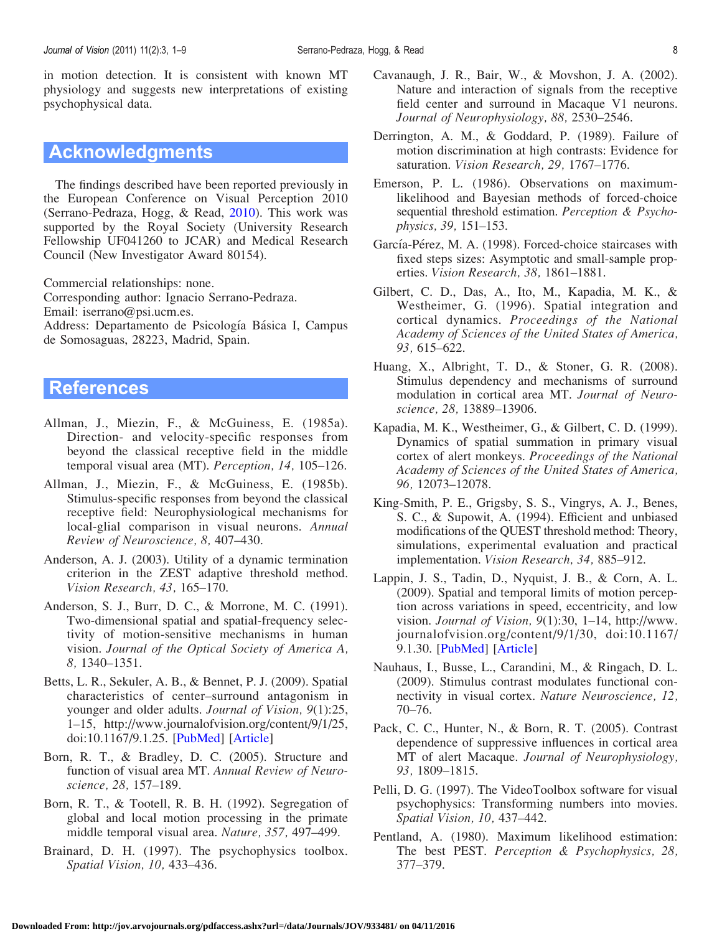<span id="page-7-0"></span>in motion detection. It is consistent with known MT physiology and suggests new interpretations of existing psychophysical data.

# Acknowledgments

The findings described have been reported previously in the European Conference on Visual Perception 2010 (Serrano-Pedraza, Hogg, & Read, [2010\)](#page-8-0). This work was supported by the Royal Society (University Research Fellowship UF041260 to JCAR) and Medical Research Council (New Investigator Award 80154).

Commercial relationships: none.

Corresponding author: Ignacio Serrano-Pedraza. Email: iserrano@psi.ucm.es.

Address: Departamento de Psicología Básica I, Campus de Somosaguas, 28223, Madrid, Spain.

# **References**

- Allman, J., Miezin, F., & McGuiness, E. (1985a). Direction- and velocity-specific responses from beyond the classical receptive field in the middle temporal visual area (MT). Perception, 14, 105–126.
- Allman, J., Miezin, F., & McGuiness, E. (1985b). Stimulus-specific responses from beyond the classical receptive field: Neurophysiological mechanisms for local-glial comparison in visual neurons. Annual Review of Neuroscience, 8, 407–430.
- Anderson, A. J. (2003). Utility of a dynamic termination criterion in the ZEST adaptive threshold method. Vision Research, 43, 165–170.
- Anderson, S. J., Burr, D. C., & Morrone, M. C. (1991). Two-dimensional spatial and spatial-frequency selectivity of motion-sensitive mechanisms in human vision. Journal of the Optical Society of America A, 8, 1340–1351.
- Betts, L. R., Sekuler, A. B., & Bennet, P. J. (2009). Spatial characteristics of center–surround antagonism in younger and older adults. Journal of Vision, 9(1):25, 1–15, http://www.journalofvision.org/content/9/1/25, doi:10.1167/9.1.25. [[PubMed\]](http://www.ncbi.nlm.nih.gov/pubmed/19271895) [[Article](http://www.journalofvision.org/content/9/1/25)]
- Born, R. T., & Bradley, D. C. (2005). Structure and function of visual area MT. Annual Review of Neuroscience, 28, 157–189.
- Born, R. T., & Tootell, R. B. H. (1992). Segregation of global and local motion processing in the primate middle temporal visual area. Nature, 357, 497–499.
- Brainard, D. H. (1997). The psychophysics toolbox. Spatial Vision, 10, 433–436.
- Cavanaugh, J. R., Bair, W., & Movshon, J. A. (2002). Nature and interaction of signals from the receptive field center and surround in Macaque V1 neurons. Journal of Neurophysiology, 88, 2530–2546.
- Derrington, A. M., & Goddard, P. (1989). Failure of motion discrimination at high contrasts: Evidence for saturation. *Vision Research*, 29, 1767–1776.
- Emerson, P. L. (1986). Observations on maximumlikelihood and Bayesian methods of forced-choice sequential threshold estimation. Perception & Psychophysics, 39, 151–153.
- García-Pérez, M. A. (1998). Forced-choice staircases with fixed steps sizes: Asymptotic and small-sample properties. Vision Research, 38, 1861–1881.
- Gilbert, C. D., Das, A., Ito, M., Kapadia, M. K., & Westheimer, G. (1996). Spatial integration and cortical dynamics. Proceedings of the National Academy of Sciences of the United States of America, 93, 615–622.
- Huang, X., Albright, T. D., & Stoner, G. R. (2008). Stimulus dependency and mechanisms of surround modulation in cortical area MT. Journal of Neuroscience, 28, 13889–13906.
- Kapadia, M. K., Westheimer, G., & Gilbert, C. D. (1999). Dynamics of spatial summation in primary visual cortex of alert monkeys. Proceedings of the National Academy of Sciences of the United States of America, 96, 12073–12078.
- King-Smith, P. E., Grigsby, S. S., Vingrys, A. J., Benes, S. C., & Supowit, A. (1994). Efficient and unbiased modifications of the QUEST threshold method: Theory, simulations, experimental evaluation and practical implementation. Vision Research, 34, 885–912.
- Lappin, J. S., Tadin, D., Nyquist, J. B., & Corn, A. L. (2009). Spatial and temporal limits of motion perception across variations in speed, eccentricity, and low vision. Journal of Vision, 9(1):30, 1–14, http://www. journalofvision.org/content/9/1/30, doi:10.1167/ 9.1.30. [[PubMed\]](http://www.ncbi.nlm.nih.gov/pubmed/19271900) [[Article](http://www.journalofvision.org/content/9/1/30)]
- Nauhaus, I., Busse, L., Carandini, M., & Ringach, D. L. (2009). Stimulus contrast modulates functional connectivity in visual cortex. Nature Neuroscience, 12, 70–76.
- Pack, C. C., Hunter, N., & Born, R. T. (2005). Contrast dependence of suppressive influences in cortical area MT of alert Macaque. Journal of Neurophysiology, 93, 1809–1815.
- Pelli, D. G. (1997). The VideoToolbox software for visual psychophysics: Transforming numbers into movies. Spatial Vision, 10, 437–442.
- Pentland, A. (1980). Maximum likelihood estimation: The best PEST. Perception & Psychophysics, 28, 377–379.